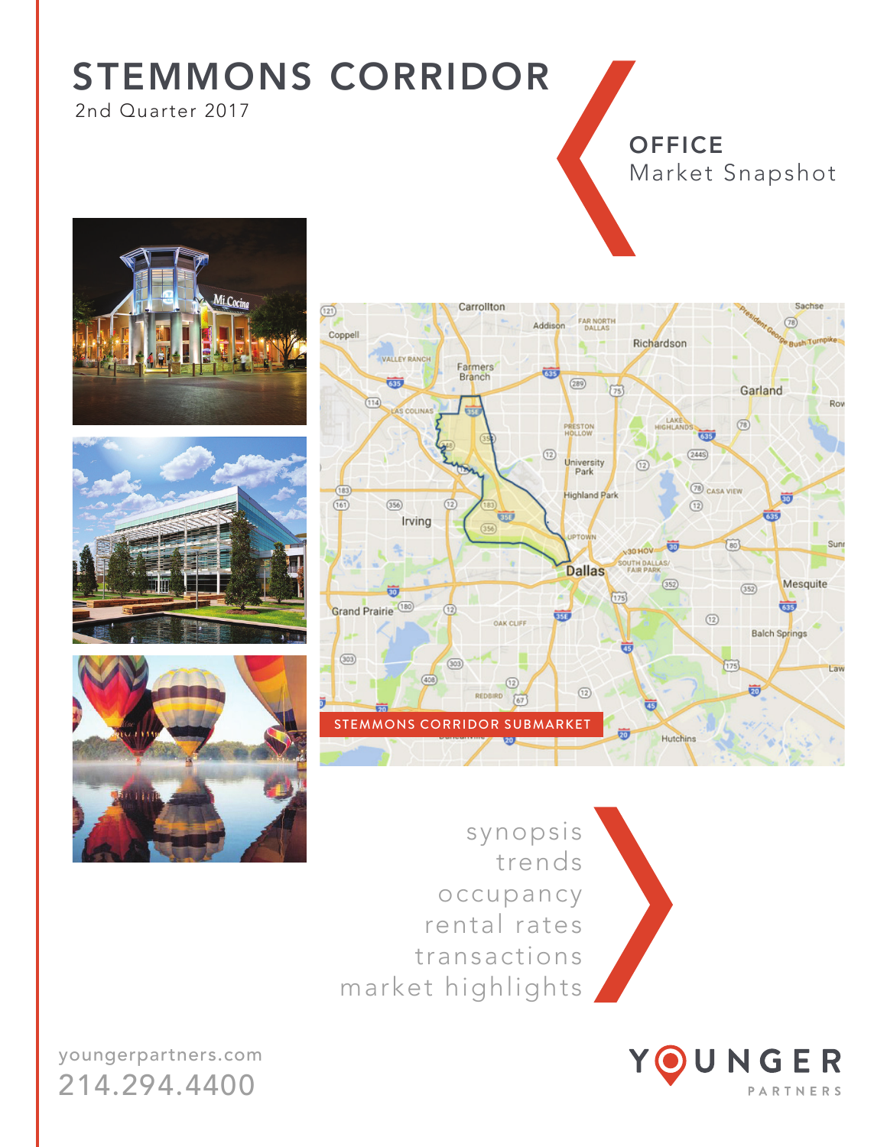$\overline{22}$ 

2nd Quarter 2017

### **OFFICE** Market Snapshot

Sachs

 $(78)$ 









FAR NORTH

Addison

synopsis trends occupancy rental rates transactions market highlights

Carrollton



youngerpartners.com 214.294.4400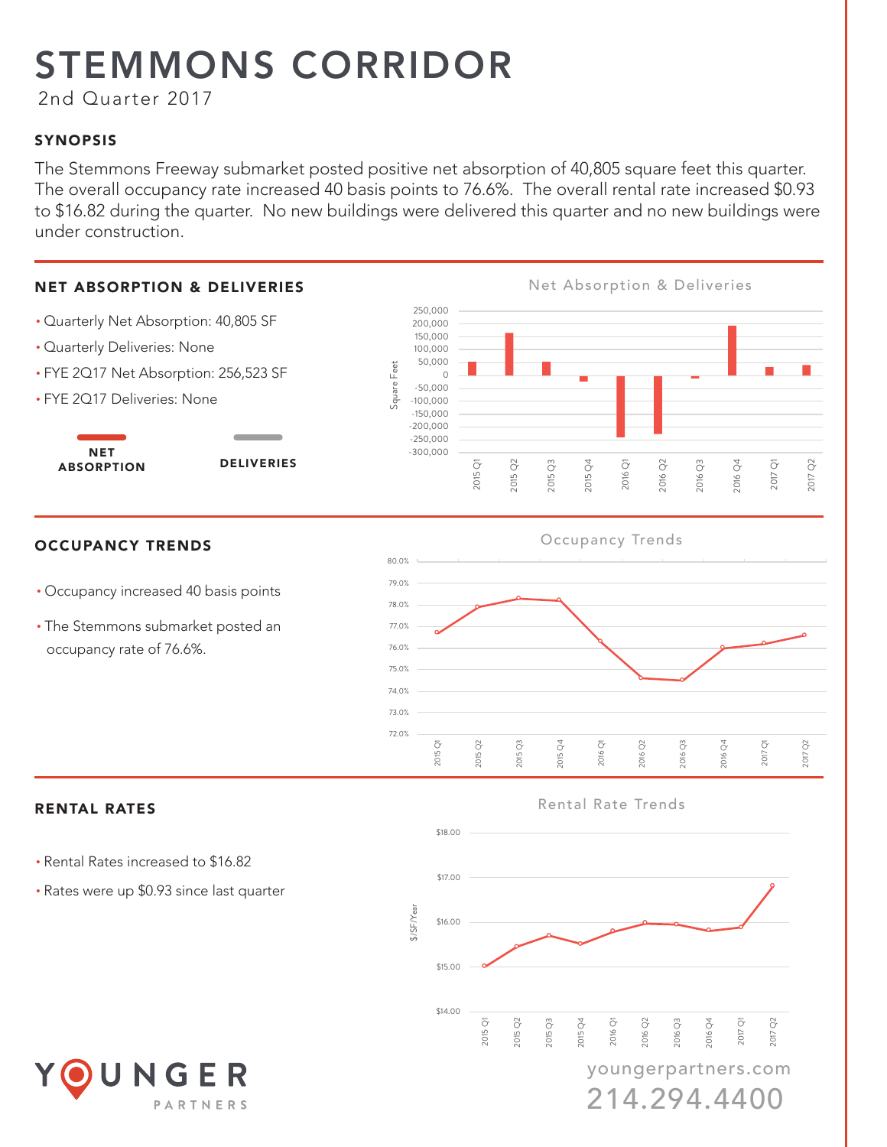2nd Quarter 2017

### SYNOPSIS

The Stemmons Freeway submarket posted positive net absorption of 40,805 square feet this quarter. The overall occupancy rate increased 40 basis points to 76.6%. The overall rental rate increased \$0.93 to \$16.82 during the quarter. No new buildings were delivered this quarter and no new buildings were under construction.



214.294.4400

PARTNERS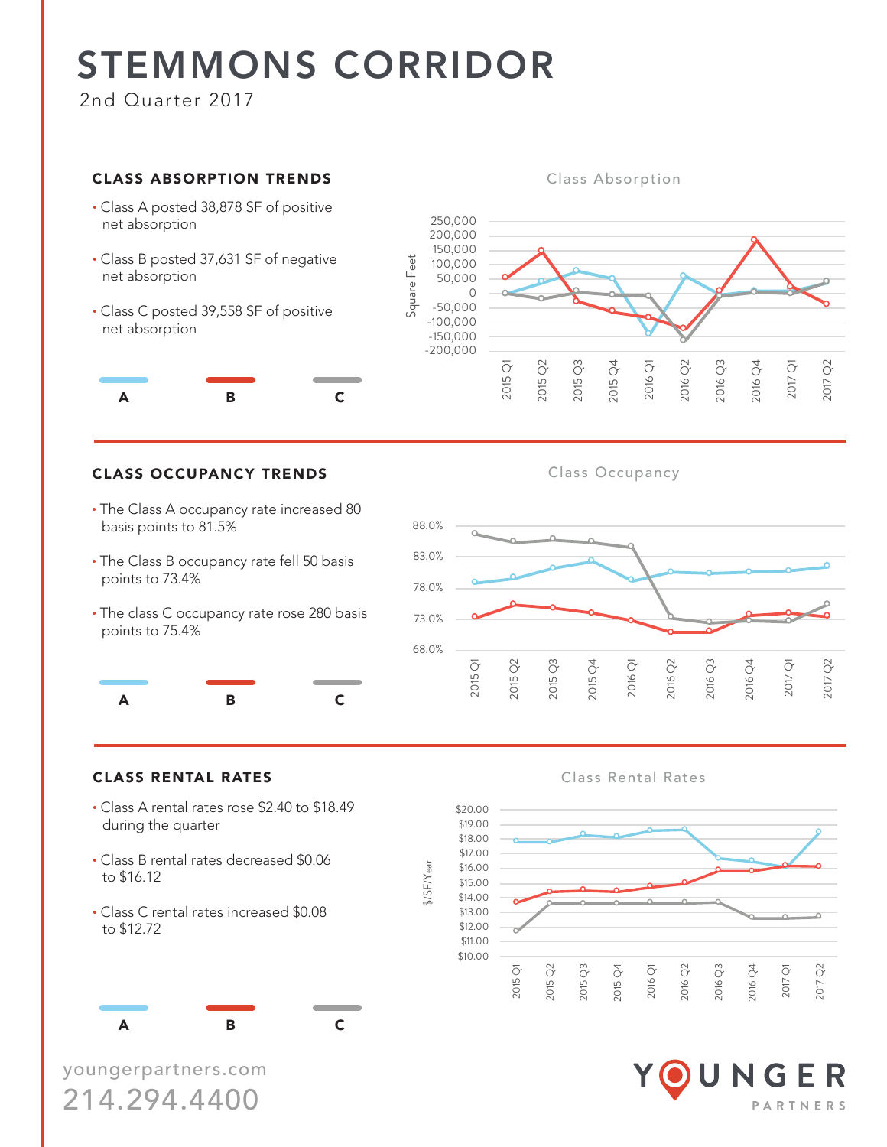2nd Quarter 2017

#### **CLASS ABSORPTION TRENDS**

- Class A posted 38,878 SF of positive net absorption
- Class B posted 37,631 SF of negative net absorption
- Class C posted 39,558 SF of positive net absorption



#### **Class Absorption**



#### CLASS OCCUPANCY TRENDS Class Occupancy

- The Class A occupancy rate increased 80 basis points to 81.5%
- The Class B occupancy rate fell 50 basis points to 73.4%
- The class C occupancy rate rose 280 basis points to 75.4%





#### **Class Rental Rates**



#### • Class A rental rates rose \$2.40 to \$18.49 during the quarter

• Class B rental rates decreased \$0.06 to \$16.12

**CLASS RENTAL RATES** 

• Class C rental rates increased \$0.08 to \$12.72



youngerpartners.com 214.294.4400

NGER PARTNERS